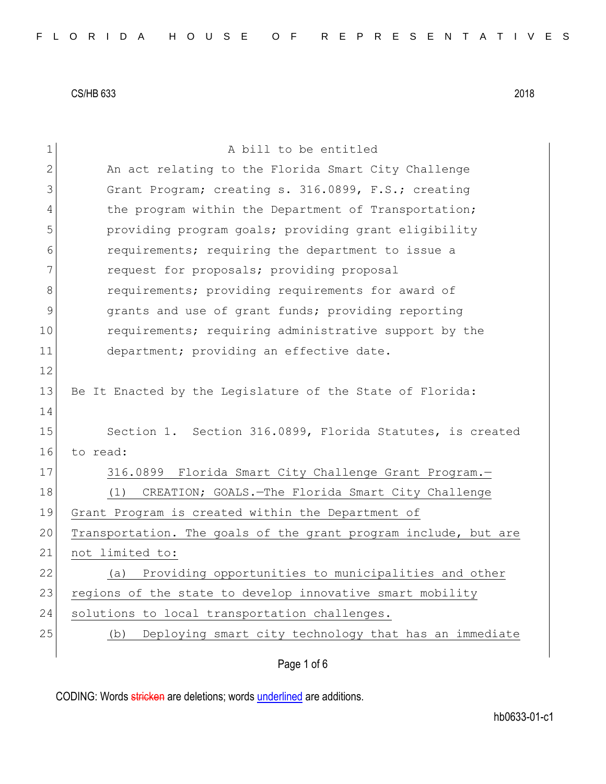| 1             | A bill to be entitled                                           |
|---------------|-----------------------------------------------------------------|
| $\mathbf{2}$  | An act relating to the Florida Smart City Challenge             |
| 3             | Grant Program; creating s. 316.0899, F.S.; creating             |
| 4             | the program within the Department of Transportation;            |
| 5             | providing program goals; providing grant eligibility            |
| 6             | requirements; requiring the department to issue a               |
| 7             | request for proposals; providing proposal                       |
| 8             | requirements; providing requirements for award of               |
| $\mathcal{G}$ | grants and use of grant funds; providing reporting              |
| 10            | requirements; requiring administrative support by the           |
| 11            | department; providing an effective date.                        |
| 12            |                                                                 |
| 13            | Be It Enacted by the Legislature of the State of Florida:       |
| 14            |                                                                 |
| 15            | Section 1. Section 316.0899, Florida Statutes, is created       |
| 16            | to read:                                                        |
| 17            | 316.0899 Florida Smart City Challenge Grant Program.-           |
| 18            | CREATION; GOALS.-The Florida Smart City Challenge<br>(1)        |
| 19            | Grant Program is created within the Department of               |
| 20            | Transportation. The goals of the grant program include, but are |
| 21            | not limited to:                                                 |
| 22            | (a) Providing opportunities to municipalities and other         |
| 23            | regions of the state to develop innovative smart mobility       |
| 24            | solutions to local transportation challenges.                   |
| 25            | Deploying smart city technology that has an immediate<br>(b)    |
|               | Page 1 of 6                                                     |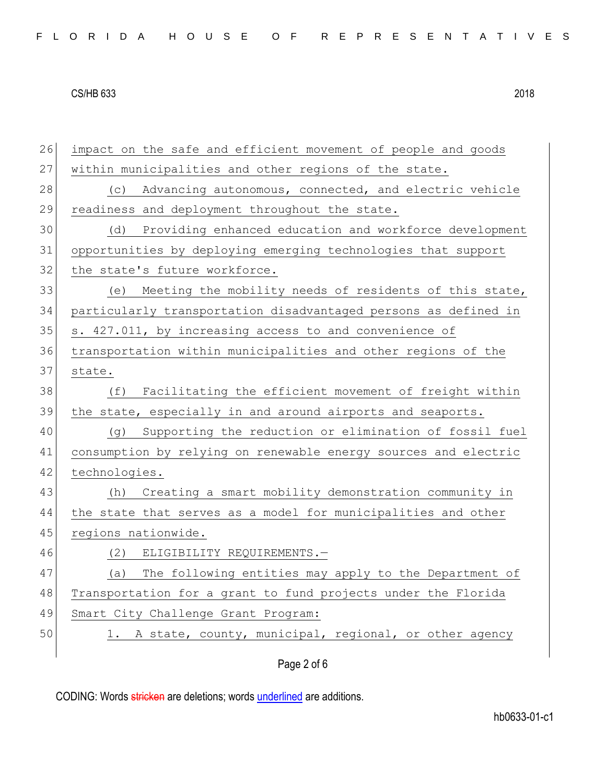| 26 | impact on the safe and efficient movement of people and goods   |
|----|-----------------------------------------------------------------|
| 27 | within municipalities and other regions of the state.           |
| 28 | Advancing autonomous, connected, and electric vehicle<br>(C)    |
| 29 | readiness and deployment throughout the state.                  |
| 30 | Providing enhanced education and workforce development<br>(d)   |
| 31 | opportunities by deploying emerging technologies that support   |
| 32 | the state's future workforce.                                   |
| 33 | (e) Meeting the mobility needs of residents of this state,      |
| 34 | particularly transportation disadvantaged persons as defined in |
| 35 | s. 427.011, by increasing access to and convenience of          |
| 36 | transportation within municipalities and other regions of the   |
| 37 | state.                                                          |
| 38 | Facilitating the efficient movement of freight within<br>(f)    |
| 39 | the state, especially in and around airports and seaports.      |
| 40 | Supporting the reduction or elimination of fossil fuel<br>(q)   |
| 41 | consumption by relying on renewable energy sources and electric |
| 42 | technologies.                                                   |
| 43 | Creating a smart mobility demonstration community in<br>(h)     |
| 44 | the state that serves as a model for municipalities and other   |
| 45 | regions nationwide.                                             |
| 46 | (2) ELIGIBILITY REQUIREMENTS.-                                  |
| 47 | The following entities may apply to the Department of<br>(a)    |
| 48 | Transportation for a grant to fund projects under the Florida   |
| 49 | Smart City Challenge Grant Program:                             |
| 50 | A state, county, municipal, regional, or other agency<br>1.     |
|    | Page 2 of 6                                                     |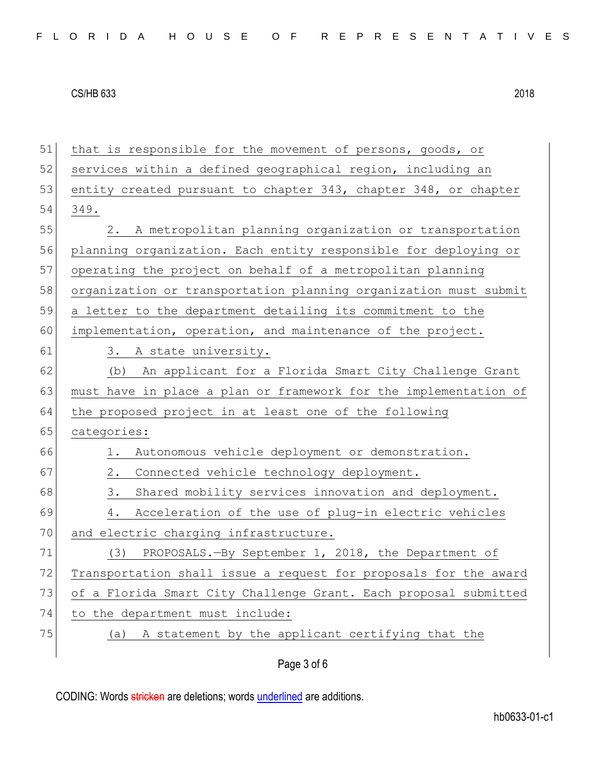Page 3 of 6 51 that is responsible for the movement of persons, goods, or 52 services within a defined geographical region, including an 53 entity created pursuant to chapter 343, chapter 348, or chapter 54 349. 55 2. A metropolitan planning organization or transportation 56 planning organization. Each entity responsible for deploying or 57 operating the project on behalf of a metropolitan planning 58 organization or transportation planning organization must submit 59 a letter to the department detailing its commitment to the 60 implementation, operation, and maintenance of the project. 61 3. A state university. 62 (b) An applicant for a Florida Smart City Challenge Grant 63 must have in place a plan or framework for the implementation of 64 the proposed project in at least one of the following 65 categories: 66 1. Autonomous vehicle deployment or demonstration. 67 2. Connected vehicle technology deployment. 68 3. Shared mobility services innovation and deployment. 69 4. Acceleration of the use of plug-in electric vehicles 70 and electric charging infrastructure. 71 (3) PROPOSALS.—By September 1, 2018, the Department of 72 Transportation shall issue a request for proposals for the award 73 of a Florida Smart City Challenge Grant. Each proposal submitted 74 to the department must include: 75 (a) A statement by the applicant certifying that the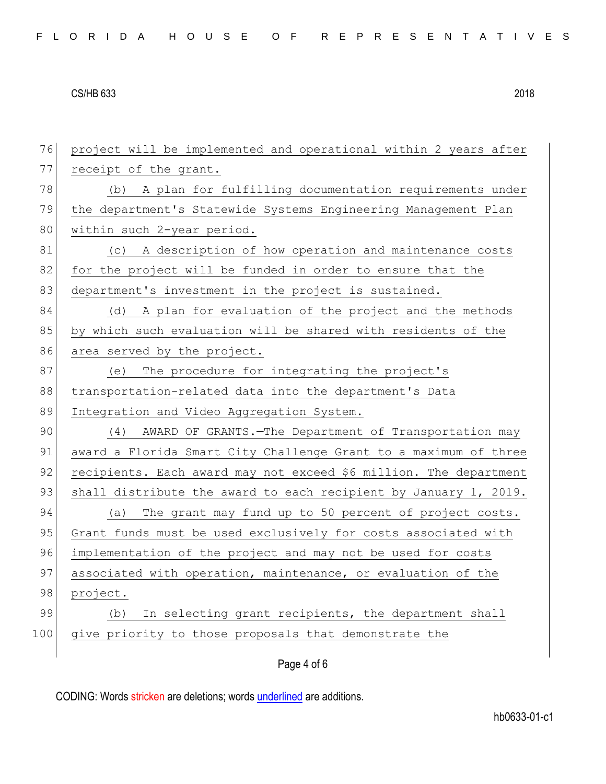76 project will be implemented and operational within 2 years after 77 receipt of the grant. 78 (b) A plan for fulfilling documentation requirements under 79 the department's Statewide Systems Engineering Management Plan 80 within such 2-year period. 81 (c) A description of how operation and maintenance costs 82 for the project will be funded in order to ensure that the 83 department's investment in the project is sustained. 84 (d) A plan for evaluation of the project and the methods 85 by which such evaluation will be shared with residents of the 86 area served by the project. 87 (e) The procedure for integrating the project's 88 transportation-related data into the department's Data 89 Integration and Video Aggregation System. 90 (4) AWARD OF GRANTS. The Department of Transportation may 91 award a Florida Smart City Challenge Grant to a maximum of three 92 recipients. Each award may not exceed \$6 million. The department 93 shall distribute the award to each recipient by January 1, 2019. 94 (a) The grant may fund up to 50 percent of project costs. 95 Grant funds must be used exclusively for costs associated with 96 implementation of the project and may not be used for costs 97 associated with operation, maintenance, or evaluation of the 98 project. 99 (b) In selecting grant recipients, the department shall 100 give priority to those proposals that demonstrate the

Page 4 of 6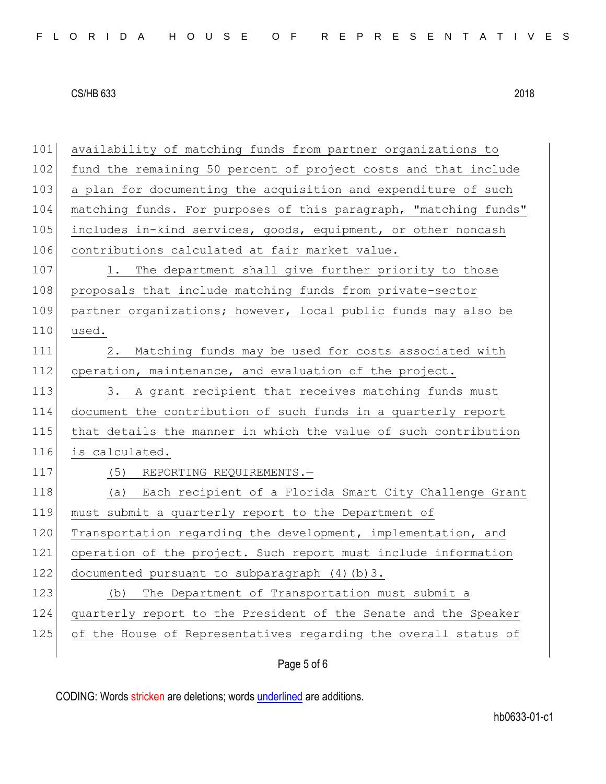101 availability of matching funds from partner organizations to 102 fund the remaining 50 percent of project costs and that include 103 a plan for documenting the acquisition and expenditure of such 104 matching funds. For purposes of this paragraph, "matching funds" 105 includes in-kind services, goods, equipment, or other noncash 106 contributions calculated at fair market value. 107 1. The department shall give further priority to those 108 proposals that include matching funds from private-sector 109 partner organizations; however, local public funds may also be 110 used. 111 2. Matching funds may be used for costs associated with 112 operation, maintenance, and evaluation of the project. 113 3. A grant recipient that receives matching funds must 114 document the contribution of such funds in a quarterly report 115 that details the manner in which the value of such contribution 116 is calculated. 117 (5) REPORTING REQUIREMENTS.-118 (a) Each recipient of a Florida Smart City Challenge Grant 119 must submit a quarterly report to the Department of 120 Transportation regarding the development, implementation, and 121 operation of the project. Such report must include information 122 documented pursuant to subparagraph (4)(b)3. 123 (b) The Department of Transportation must submit a 124 quarterly report to the President of the Senate and the Speaker 125 of the House of Representatives regarding the overall status of

# Page 5 of 6